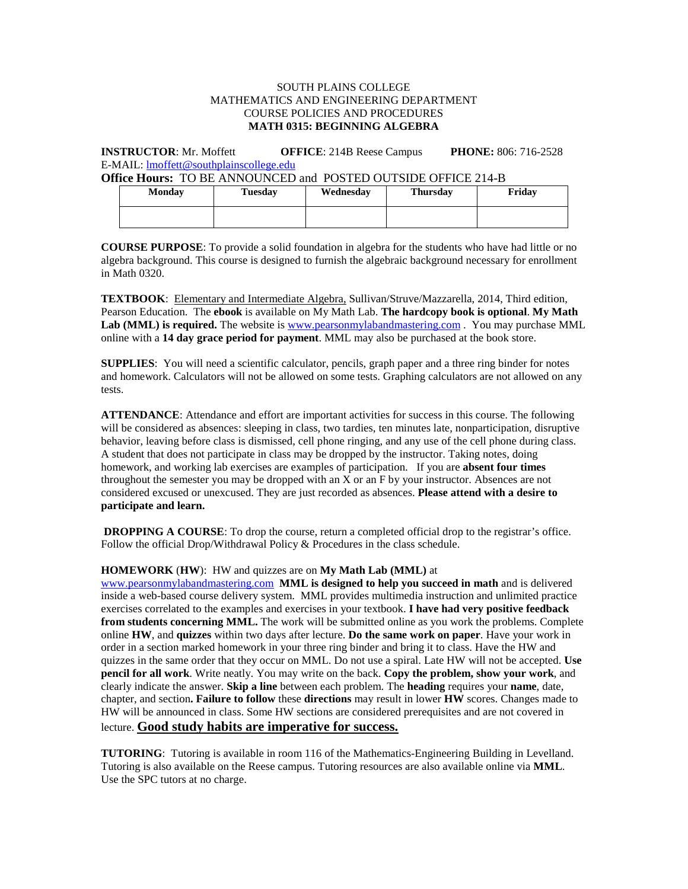### SOUTH PLAINS COLLEGE MATHEMATICS AND ENGINEERING DEPARTMENT COURSE POLICIES AND PROCEDURES **MATH 0315: BEGINNING ALGEBRA**

**INSTRUCTOR**: Mr. Moffett **OFFICE**: 214B Reese Campus **PHONE:** 806: 716-2528 E-MAIL: [lmoffett@southplainscollege.edu](mailto:lmoffett@southplainscollege.edu) 

**Office Hours:** TO BE ANNOUNCED and POSTED OUTSIDE OFFICE 214-B

| Monday | Tuesday | Wednesday | <b>Thursday</b> | Friday |
|--------|---------|-----------|-----------------|--------|
|        |         |           |                 |        |

**COURSE PURPOSE**: To provide a solid foundation in algebra for the students who have had little or no algebra background. This course is designed to furnish the algebraic background necessary for enrollment in Math 0320.

**TEXTBOOK**: Elementary and Intermediate Algebra, Sullivan/Struve/Mazzarella, 2014, Third edition, Pearson Education. The **ebook** is available on My Math Lab. **The hardcopy book is optional**. **My Math Lab (MML) is required.** The website is [www.pearsonmylabandmastering.com](http://www.pearsonmylabandmastering.com/) . You may purchase MML online with a **14 day grace period for payment**. MML may also be purchased at the book store.

**SUPPLIES**: You will need a scientific calculator, pencils, graph paper and a three ring binder for notes and homework. Calculators will not be allowed on some tests. Graphing calculators are not allowed on any tests.

**ATTENDANCE**: Attendance and effort are important activities for success in this course. The following will be considered as absences: sleeping in class, two tardies, ten minutes late, nonparticipation, disruptive behavior, leaving before class is dismissed, cell phone ringing, and any use of the cell phone during class. A student that does not participate in class may be dropped by the instructor. Taking notes, doing homework, and working lab exercises are examples of participation. If you are **absent four times** throughout the semester you may be dropped with an X or an F by your instructor. Absences are not considered excused or unexcused. They are just recorded as absences. **Please attend with a desire to participate and learn.**

**DROPPING A COURSE:** To drop the course, return a completed official drop to the registrar's office. Follow the official Drop/Withdrawal Policy & Procedures in the class schedule.

#### **HOMEWORK** (**HW**): HW and quizzes are on **My Math Lab (MML)** at

[www.pearsonmylabandmastering.com](http://www.pearsonmylabandmastering.com/) **MML is designed to help you succeed in math** and is delivered inside a web-based course delivery system. MML provides multimedia instruction and unlimited practice exercises correlated to the examples and exercises in your textbook. **I have had very positive feedback from students concerning MML.** The work will be submitted online as you work the problems. Complete online **HW**, and **quizzes** within two days after lecture. **Do the same work on paper**. Have your work in order in a section marked homework in your three ring binder and bring it to class. Have the HW and quizzes in the same order that they occur on MML. Do not use a spiral. Late HW will not be accepted. **Use pencil for all work**. Write neatly. You may write on the back. **Copy the problem, show your work**, and clearly indicate the answer. **Skip a line** between each problem. The **heading** requires your **name**, date, chapter, and section**. Failure to follow** these **directions** may result in lower **HW** scores. Changes made to HW will be announced in class. Some HW sections are considered prerequisites and are not covered in lecture. **Good study habits are imperative for success.**

**TUTORING**: Tutoring is available in room 116 of the Mathematics-Engineering Building in Levelland. Tutoring is also available on the Reese campus. Tutoring resources are also available online via **MML**. Use the SPC tutors at no charge.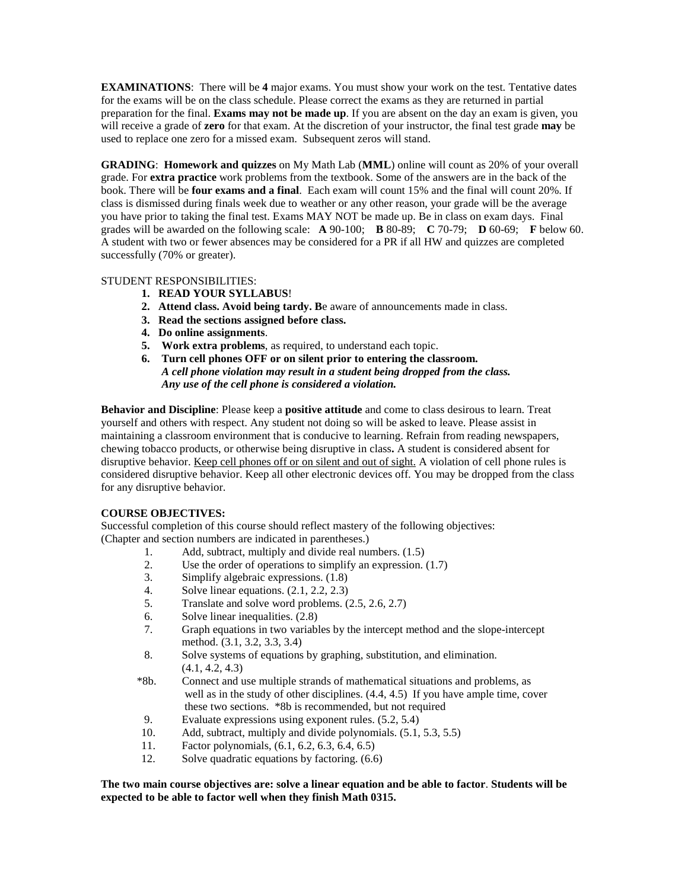**EXAMINATIONS**: There will be **4** major exams. You must show your work on the test. Tentative dates for the exams will be on the class schedule. Please correct the exams as they are returned in partial preparation for the final. **Exams may not be made up**. If you are absent on the day an exam is given, you will receive a grade of **zero** for that exam. At the discretion of your instructor, the final test grade **may** be used to replace one zero for a missed exam. Subsequent zeros will stand.

**GRADING**: **Homework and quizzes** on My Math Lab (**MML**) online will count as 20% of your overall grade. For **extra practice** work problems from the textbook. Some of the answers are in the back of the book. There will be **four exams and a final**. Each exam will count 15% and the final will count 20%. If class is dismissed during finals week due to weather or any other reason, your grade will be the average you have prior to taking the final test. Exams MAY NOT be made up. Be in class on exam days. Final grades will be awarded on the following scale: **A** 90-100; **B** 80-89; **C** 70-79; **D** 60-69; **F** below 60. A student with two or fewer absences may be considered for a PR if all HW and quizzes are completed successfully (70% or greater).

## STUDENT RESPONSIBILITIES:

- **1. READ YOUR SYLLABUS**!
- **2. Attend class. Avoid being tardy. B**e aware of announcements made in class.
- **3. Read the sections assigned before class.**
- **4. Do online assignments**.
- **5. Work extra problems**, as required, to understand each topic.
- **6. Turn cell phones OFF or on silent prior to entering the classroom.**  *A cell phone violation may result in a student being dropped from the class. Any use of the cell phone is considered a violation.*

**Behavior and Discipline**: Please keep a **positive attitude** and come to class desirous to learn. Treat yourself and others with respect. Any student not doing so will be asked to leave. Please assist in maintaining a classroom environment that is conducive to learning. Refrain from reading newspapers, chewing tobacco products, or otherwise being disruptive in class**.** A student is considered absent for disruptive behavior. Keep cell phones off or on silent and out of sight. A violation of cell phone rules is considered disruptive behavior. Keep all other electronic devices off. You may be dropped from the class for any disruptive behavior.

# **COURSE OBJECTIVES:**

Successful completion of this course should reflect mastery of the following objectives: (Chapter and section numbers are indicated in parentheses.)

- 1. Add, subtract, multiply and divide real numbers. (1.5)<br>2. Use the order of operations to simplify an expression
- Use the order of operations to simplify an expression.  $(1.7)$
- 3. Simplify algebraic expressions. (1.8)
- 4. Solve linear equations.  $(2.1, 2.2, 2.3)$ <br>5. Translate and solve word problems.  $(2.1, 2.2, 2.3)$
- Translate and solve word problems.  $(2.5, 2.6, 2.7)$
- 6. Solve linear inequalities. (2.8)
- 7. Graph equations in two variables by the intercept method and the slope-intercept method. (3.1, 3.2, 3.3, 3.4)
- 8. Solve systems of equations by graphing, substitution, and elimination. (4.1, 4.2, 4.3)
- \*8b. Connect and use multiple strands of mathematical situations and problems, as well as in the study of other disciplines. (4.4, 4.5) If you have ample time, cover these two sections. \*8b is recommended, but not required
- 9. Evaluate expressions using exponent rules. (5.2, 5.4)
- 10. Add, subtract, multiply and divide polynomials. (5.1, 5.3, 5.5)
- 11. Factor polynomials,  $(6.1, 6.2, 6.3, 6.4, 6.5)$ <br>12. Solve quadratic equations by factoring.  $(6.6, 6.3, 6.4, 6.5)$
- Solve quadratic equations by factoring.  $(6.6)$

## **The two main course objectives are: solve a linear equation and be able to factor**. **Students will be expected to be able to factor well when they finish Math 0315.**